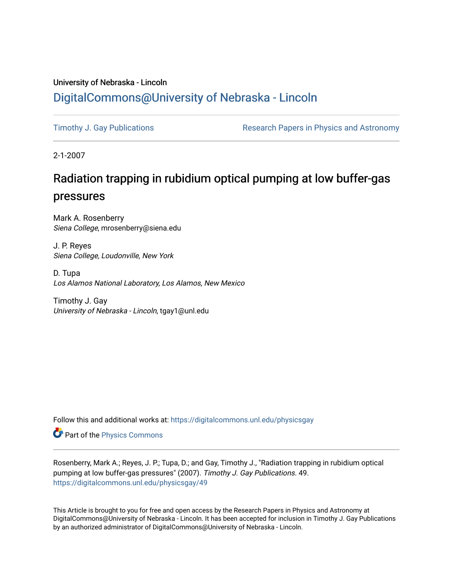## University of Nebraska - Lincoln [DigitalCommons@University of Nebraska - Lincoln](https://digitalcommons.unl.edu/)

[Timothy J. Gay Publications](https://digitalcommons.unl.edu/physicsgay) **Research Papers in Physics and Astronomy** 

2-1-2007

# Radiation trapping in rubidium optical pumping at low buffer-gas pressures

Mark A. Rosenberry Siena College, mrosenberry@siena.edu

J. P. Reyes Siena College, Loudonville, New York

D. Tupa Los Alamos National Laboratory, Los Alamos, New Mexico

Timothy J. Gay University of Nebraska - Lincoln, tgay1@unl.edu

Follow this and additional works at: [https://digitalcommons.unl.edu/physicsgay](https://digitalcommons.unl.edu/physicsgay?utm_source=digitalcommons.unl.edu%2Fphysicsgay%2F49&utm_medium=PDF&utm_campaign=PDFCoverPages)

Part of the [Physics Commons](http://network.bepress.com/hgg/discipline/193?utm_source=digitalcommons.unl.edu%2Fphysicsgay%2F49&utm_medium=PDF&utm_campaign=PDFCoverPages)

Rosenberry, Mark A.; Reyes, J. P.; Tupa, D.; and Gay, Timothy J., "Radiation trapping in rubidium optical pumping at low buffer-gas pressures" (2007). Timothy J. Gay Publications. 49. [https://digitalcommons.unl.edu/physicsgay/49](https://digitalcommons.unl.edu/physicsgay/49?utm_source=digitalcommons.unl.edu%2Fphysicsgay%2F49&utm_medium=PDF&utm_campaign=PDFCoverPages) 

This Article is brought to you for free and open access by the Research Papers in Physics and Astronomy at DigitalCommons@University of Nebraska - Lincoln. It has been accepted for inclusion in Timothy J. Gay Publications by an authorized administrator of DigitalCommons@University of Nebraska - Lincoln.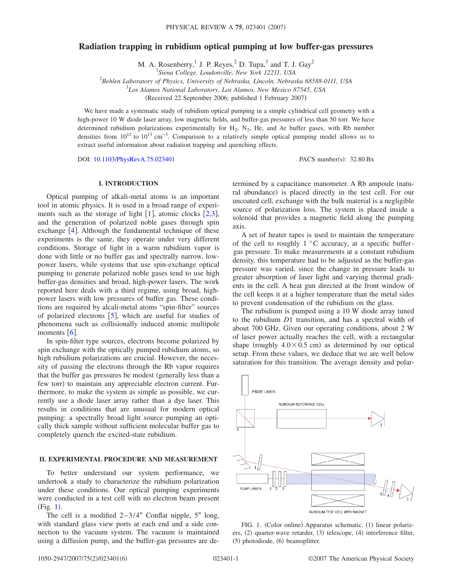### **Radiation trapping in rubidium optical pumping at low buffer-gas pressures**

M. A. Rosenberry, <sup>1</sup> J. P. Reyes,  $^{2}$  D. Tupa,  $^{3}$  and T. J. Gay<sup>2</sup>

1 *Siena College, Loudonville, New York 12211, USA*

2 *Behlen Laboratory of Physics, University of Nebraska, Lincoln, Nebraska 68588-0111, USA*

3 *Los Alamos National Laboratory, Los Alamos, New Mexico 87545, USA*

(Received 22 September 2006; published 1 February 2007)

We have made a systematic study of rubidium optical pumping in a simple cylindrical cell geometry with a high-power 10 W diode laser array, low magnetic fields, and buffer-gas pressures of less than 50 torr. We have determined rubidium polarizations experimentally for  $H_2$ ,  $N_2$ , He, and Ar buffer gases, with Rb number densities from  $10^{12}$  to  $10^{13}$  cm<sup>-3</sup>. Comparison to a relatively simple optical pumping model allows us to extract useful information about radiation trapping and quenching effects.

DOI: [10.1103/PhysRevA.75.023401](http://dx.doi.org/10.1103/PhysRevA.75.023401)

PACS number(s): 32.80.Bx

#### **I. INTRODUCTION**

Optical pumping of alkali-metal atoms is an important tool in atomic physics. It is used in a broad range of experiments such as the storage of light  $[1]$  $[1]$  $[1]$ , atomic clocks  $[2,3]$  $[2,3]$  $[2,3]$  $[2,3]$ , and the generation of polarized noble gases through spin exchange  $[4]$  $[4]$  $[4]$ . Although the fundamental technique of these experiments is the same, they operate under very different conditions. Storage of light in a warm rubidium vapor is done with little or no buffer gas and spectrally narrow, lowpower lasers, while systems that use spin-exchange optical pumping to generate polarized noble gases tend to use high buffer-gas densities and broad, high-power lasers. The work reported here deals with a third regime, using broad, highpower lasers with low pressures of buffer gas. These conditions are required by alcali-metal atoms "spin-filter" sources of polarized electrons  $\begin{bmatrix} 5 \end{bmatrix}$  $\begin{bmatrix} 5 \end{bmatrix}$  $\begin{bmatrix} 5 \end{bmatrix}$ , which are useful for studies of phenomena such as collisionally induced atomic multipole moments  $\lceil 6 \rceil$  $\lceil 6 \rceil$  $\lceil 6 \rceil$ .

In spin-filter type sources, electrons become polarized by spin exchange with the optically pumped rubidium atoms, so high rubidium polarizations are crucial. However, the necessity of passing the electrons through the Rb vapor requires that the buffer gas pressures be modest generally less than a few torr) to maintain any appreciable electron current. Furthermore, to make the system as simple as possible, we currently use a diode laser array rather than a dye laser. This results in conditions that are unusual for modern optical pumping: a spectrally broad light source pumping an optically thick sample without sufficient molecular buffer gas to completely quench the excited-state rubidium.

#### **II. EXPERIMENTAL PROCEDURE AND MEASUREMENT**

To better understand our system performance, we undertook a study to characterize the rubidium polarization under these conditions. Our optical pumping experiments were conducted in a test cell with no electron beam present  $(Fig. 1)$  $(Fig. 1)$  $(Fig. 1)$ .

The cell is a modified  $2-3/4$ " Conflat nipple, 5" long, with standard glass view ports at each end and a side connection to the vacuum system. The vacuum is maintained using a diffusion pump, and the buffer-gas pressures are determined by a capacitance manometer. A Rb ampoule (natural abundance) is placed directly in the test cell. For our uncoated cell, exchange with the bulk material is a negligible source of polarization loss. The system is placed inside a solenoid that provides a magnetic field along the pumping axis.

A set of heater tapes is used to maintain the temperature of the cell to roughly  $1 \degree C$  accuracy, at a specific buffergas pressure. To make measurements at a constant rubidium density, this temperature had to be adjusted as the buffer-gas pressure was varied, since the change in pressure leads to greater absorption of laser light and varying thermal gradients in the cell. A heat gun directed at the front window of the cell keeps it at a higher temperature than the metal sides to prevent condensation of the rubidium on the glass.

The rubidium is pumped using a 10 W diode array tuned to the rubidium *D*1 transition, and has a spectral width of about 700 GHz. Given our operating conditions, about 2 W of laser power actually reaches the cell, with a rectangular shape (roughly  $4.0 \times 0.5$  cm) as determined by our optical setup. From these values, we deduce that we are well below saturation for this transition. The average density and polar-

<span id="page-1-0"></span>

FIG. 1. (Color online) Apparatus schematic. (1) linear polarizers, (2) quarter-wave retarder, (3) telescope, (4) interference filter, (5) photodiode, (6) beamsplitter.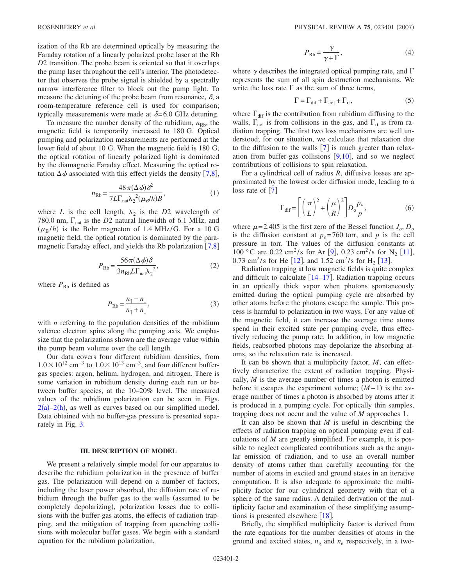ization of the Rb are determined optically by measuring the Faraday rotation of a linearly polarized probe laser at the Rb *D*2 transition. The probe beam is oriented so that it overlaps the pump laser throughout the cell's interior. The photodetector that observes the probe signal is shielded by a spectrally narrow interference filter to block out the pump light. To measure the detuning of the probe beam from resonance,  $\delta$ , a room-temperature reference cell is used for comparison; typically measurements were made at  $\delta = 6.0$  GHz detuning.

To measure the number density of the rubidium,  $n_{\rm Rb}$ , the magnetic field is temporarily increased to 180 G. Optical pumping and polarization measurements are performed at the lower field of about 10 G. When the magnetic field is 180 G, the optical rotation of linearly polarized light is dominated by the diamagnetic Faraday effect. Measuring the optical rotation  $\Delta \phi$  associated with this effect yields the density [[7,](#page-6-6)[8](#page-6-7)],

$$
n_{\text{Rb}} = \frac{48\pi(\Delta\phi)\delta^2}{7L\Gamma_{\text{nat}}\lambda_2^2(\mu_B/h)B},\tag{1}
$$

where *L* is the cell length,  $\lambda_2$  is the *D*2 wavelength of 780.0 nm,  $\Gamma_{\text{nat}}$  is the *D*2 natural linewidth of 6.1 MHz, and  $(\mu_B/h)$  is the Bohr magneton of 1.4 MHz/G. For a 10 G magnetic field, the optical rotation is dominated by the paramagnetic Faraday effect, and yields the Rb polarization  $[7,8]$  $[7,8]$  $[7,8]$  $[7,8]$ 

$$
P_{\text{Rb}} = \frac{56\pi(\Delta\phi)\delta}{3n_{\text{Rb}}L\Gamma_{\text{nat}}\lambda_2^2},\tag{2}
$$

where  $P_{\text{Rb}}$  is defined as

$$
P_{\text{Rb}} = \frac{n_{\uparrow} - n_{\downarrow}}{n_{\uparrow} + n_{\downarrow}},\tag{3}
$$

with *n* referring to the population densities of the rubidium valence electron spins along the pumping axis. We emphasize that the polarizations shown are the average value within the pump beam volume over the cell length.

Our data covers four different rubidium densities, from  $1.0\times10^{12}$  cm<sup>-3</sup> to  $1.0\times10^{13}$  cm<sup>-3</sup>, and four different buffergas species: argon, helium, hydrogen, and nitrogen. There is some variation in rubidium density during each run or between buffer species, at the 10–20% level. The measured values of the rubidium polarization can be seen in Figs.  $2(a)-2(h)$  $2(a)-2(h)$ , as well as curves based on our simplified model. Data obtained with no buffer-gas pressure is presented separately in Fig. [3.](#page-4-0)

#### **III. DESCRIPTION OF MODEL**

We present a relatively simple model for our apparatus to describe the rubidium polarization in the presence of buffer gas. The polarization will depend on a number of factors, including the laser power absorbed, the diffusion rate of rubidium through the buffer gas to the walls (assumed to be completely depolarizing), polarization losses due to collisions with the buffer-gas atoms, the effects of radiation trapping, and the mitigation of trapping from quenching collisions with molecular buffer gases. We begin with a standard equation for the rubidium polarization,

$$
P_{\text{Rb}} = \frac{\gamma}{\gamma + \Gamma},\tag{4}
$$

<span id="page-2-1"></span>where  $\gamma$  describes the integrated optical pumping rate, and  $\Gamma$ represents the sum of all spin destruction mechanisms. We write the loss rate  $\Gamma$  as the sum of three terms,

$$
\Gamma = \Gamma_{\text{dif}} + \Gamma_{\text{col}} + \Gamma_{\text{rt}},\tag{5}
$$

<span id="page-2-0"></span>where  $\Gamma_{\text{dif}}$  is the contribution from rubidium diffusing to the walls,  $\Gamma_{\text{col}}$  is from collisions in the gas, and  $\Gamma_{\text{rt}}$  is from radiation trapping. The first two loss mechanisms are well understood; for our situation, we calculate that relaxation due to the diffusion to the walls  $|7|$  $|7|$  $|7|$  is much greater than relaxation from buffer-gas collisions  $[9,10]$  $[9,10]$  $[9,10]$  $[9,10]$ , and so we neglect contributions of collisions to spin relaxation.

For a cylindrical cell of radius *R*, diffusive losses are approximated by the lowest order diffusion mode, leading to a loss rate of  $[7]$  $[7]$  $[7]$ 

$$
\Gamma_{\text{dif}} = \left[ \left( \frac{\pi}{L} \right)^2 + \left( \frac{\mu}{R} \right)^2 \right] D_o \frac{p_o}{p},\tag{6}
$$

where  $\mu$ =2.405 is the first zero of the Bessel function *J<sub>o</sub>*, *D<sub>o</sub>* is the diffusion constant at  $p_o$ =760 torr, and *p* is the cell pressure in torr. The values of the diffusion constants at 100 °C are 0.22 cm<sup>2</sup>/s for Ar [[9](#page-6-8)], 0.23 cm<sup>2</sup>/s for N<sub>2</sub> [[11](#page-6-10)], 0.73 cm<sup>2</sup>/s for He [[12](#page-6-11)], and 1.52 cm<sup>2</sup>/s for H<sub>2</sub> [[13](#page-6-12)].

Radiation trapping at low magnetic fields is quite complex and difficult to calculate  $\left[14-17\right]$  $\left[14-17\right]$  $\left[14-17\right]$ . Radiation trapping occurs in an optically thick vapor when photons spontaneously emitted during the optical pumping cycle are absorbed by other atoms before the photons escape the sample. This process is harmful to polarization in two ways. For any value of the magnetic field, it can increase the average time atoms spend in their excited state per pumping cycle, thus effectively reducing the pump rate. In addition, in low magnetic fields, reabsorbed photons may depolarize the absorbing atoms, so the relaxation rate is increased.

It can be shown that a multiplicity factor, *M*, can effectively characterize the extent of radiation trapping. Physically, *M* is the average number of times a photon is emitted before it escapes the experiment volume;  $(M-1)$  is the average number of times a photon is absorbed by atoms after it is produced in a pumping cycle. For optically thin samples, trapping does not occur and the value of *M* approaches 1.

It can also be shown that *M* is useful in describing the effects of radiation trapping on optical pumping even if calculations of *M* are greatly simplified. For example, it is possible to neglect complicated contributions such as the angular emission of radiation, and to use an overall number density of atoms rather than carefully accounting for the number of atoms in excited and ground states in an iterative computation. It is also adequate to approximate the multiplicity factor for our cylindrical geometry with that of a sphere of the same radius. A detailed derivation of the multiplicity factor and examination of these simplifying assumptions is presented elsewhere  $\lceil 18 \rceil$  $\lceil 18 \rceil$  $\lceil 18 \rceil$ .

Briefly, the simplified multiplicity factor is derived from the rate equations for the number densities of atoms in the ground and excited states,  $n_g$  and  $n_e$  respectively, in a two-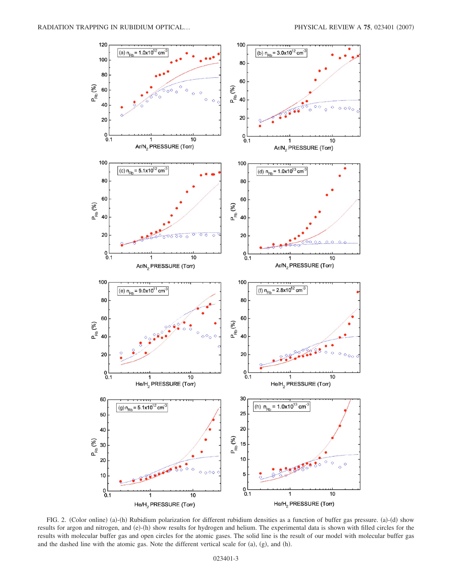<span id="page-3-0"></span>

FIG. 2. (Color online) (a)-(h) Rubidium polarization for different rubidium densities as a function of buffer gas pressure. (a)-(d) show results for argon and nitrogen, and (e)-(h) show results for hydrogen and helium. The experimental data is shown with filled circles for the results with molecular buffer gas and open circles for the atomic gases. The solid line is the result of our model with molecular buffer gas and the dashed line with the atomic gas. Note the different vertical scale for  $(a)$ ,  $(g)$ , and  $(h)$ .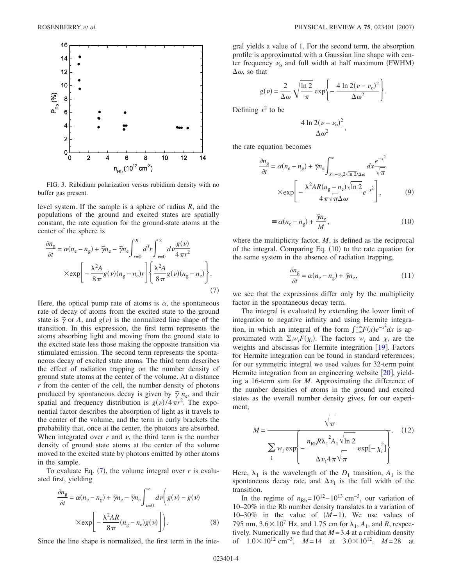<span id="page-4-0"></span>

FIG. 3. Rubidium polarization versus rubidium density with no buffer gas present.

level system. If the sample is a sphere of radius *R*, and the populations of the ground and excited states are spatially constant, the rate equation for the ground-state atoms at the center of the sphere is

<span id="page-4-1"></span>
$$
\frac{\partial n_{\rm g}}{\partial t} = \alpha (n_{\rm e} - n_{\rm g}) + \tilde{\gamma} n_{\rm e} - \tilde{\gamma} n_{\rm e} \int_{r=0}^{R} d^3 r \int_{\nu=0}^{\infty} d\nu \frac{g(\nu)}{4 \pi r^2}
$$

$$
\times \exp\left[ -\frac{\lambda^2 A}{8 \pi} g(\nu) (n_{\rm g} - n_{\rm e}) r \right] \left\{ \frac{\lambda^2 A}{8 \pi} g(\nu) (n_{\rm g} - n_{\rm e}) \right\}.
$$
(7)

Here, the optical pump rate of atoms is  $\alpha$ , the spontaneous rate of decay of atoms from the excited state to the ground state is  $\tilde{\gamma}$  or *A*, and  $g(\nu)$  is the normalized line shape of the transition. In this expression, the first term represents the atoms absorbing light and moving from the ground state to the excited state less those making the opposite transition via stimulated emission. The second term represents the spontaneous decay of excited state atoms. The third term describes the effect of radiation trapping on the number density of ground state atoms at the center of the volume. At a distance *r* from the center of the cell, the number density of photons produced by spontaneous decay is given by  $\tilde{\gamma}$   $n_e$ , and their spatial and frequency distribution is  $g(\nu)/4\pi r^2$ . The exponential factor describes the absorption of light as it travels to the center of the volume, and the term in curly brackets the probability that, once at the center, the photons are absorbed. When integrated over  $r$  and  $\nu$ , the third term is the number density of ground state atoms at the center of the volume moved to the excited state by photons emitted by other atoms in the sample.

To evaluate Eq.  $(7)$  $(7)$  $(7)$ , the volume integral over *r* is evaluated first, yielding

$$
\frac{\partial n_g}{\partial t} = \alpha (n_e - n_g) + \tilde{\gamma} n_e - \tilde{\gamma} n_e \int_{\nu=0}^{\infty} d\nu \bigg( g(\nu) - g(\nu) \bigg) \times \exp \bigg[ -\frac{\lambda^2 AR}{8\pi} (n_g - n_e) g(\nu) \bigg] \bigg). \tag{8}
$$

Since the line shape is normalized, the first term in the inte-

gral yields a value of 1. For the second term, the absorption profile is approximated with a Gaussian line shape with center frequency  $v_0$  and full width at half maximum (FWHM)  $\Delta\omega$ , so that

$$
g(\nu) = \frac{2}{\Delta \omega} \sqrt{\frac{\ln 2}{\pi}} \exp \left\{-\frac{4 \ln 2(\nu - \nu_0)^2}{\Delta \omega^2}\right\}.
$$

Defining  $x^2$  to be

$$
\frac{4 \ln 2(\nu - \nu_0)^2}{\Delta \omega^2},
$$

the rate equation becomes

$$
\frac{\partial n_{\rm g}}{\partial t} = \alpha (n_{\rm e} - n_{\rm g}) + \tilde{\gamma} n_{\rm e} \int_{x = -\nu_{\rm o} 2\sqrt{\ln 2}/\Delta \omega}^{\infty} dx \frac{e^{-x^2}}{\sqrt{\pi}}
$$

$$
\times \exp\left[ -\frac{\lambda^2 AR(n_{\rm g} - n_{\rm e})\sqrt{\ln 2}}{4\pi \sqrt{\pi} \Delta \omega} e^{-x^2} \right],\tag{9}
$$

$$
\equiv \alpha (n_e - n_g) + \frac{\tilde{\gamma} n_e}{M},\tag{10}
$$

where the multiplicity factor, *M*, is defined as the reciprocal of the integral. Comparing Eq. (10) to the rate equation for the same system in the absence of radiation trapping,

$$
\frac{\partial n_{\rm g}}{\partial t} = \alpha (n_{\rm e} - n_{\rm g}) + \tilde{\gamma} n_{\rm e},\tag{11}
$$

we see that the expressions differ only by the multiplicity factor in the spontaneous decay term.

The integral is evaluated by extending the lower limit of integration to negative infinity and using Hermite integration, in which an integral of the form  $\int_{-\infty}^{+\infty} F(x)e^{-x^2} dx$  is approximated with  $\Sigma_i w_i F(\chi_i)$ . The factors  $w_i$  and  $\chi_i$  are the weights and abscissas for Hermite integration  $[19]$  $[19]$  $[19]$ . Factors for Hermite integration can be found in standard references; for our symmetric integral we used values for 32-term point Hermite integration from an engineering website  $\lceil 20 \rceil$  $\lceil 20 \rceil$  $\lceil 20 \rceil$ , yielding a 16-term sum for *M*. Approximating the difference of the number densities of atoms in the ground and excited states as the overall number density gives, for our experiment,

$$
M = \frac{\sqrt{\pi}}{\sum_{i} w_i \exp\left\{-\frac{n_{\text{Rb}} R \lambda_1^2 A_1 \sqrt{\ln 2}}{\Delta \nu_1 4 \pi \sqrt{\pi}} \exp[-\chi_i^2]\right\}}.
$$
 (12)

Here,  $\lambda_1$  is the wavelength of the  $D_1$  transition,  $A_1$  is the spontaneous decay rate, and  $\Delta \nu_1$  is the full width of the transition.

In the regime of  $n_{\text{Rb}} = 10^{12} - 10^{13} \text{ cm}^{-3}$ , our variation of 10–20% in the Rb number density translates to a variation of 10–30% in the value of  $(M-1)$ . We use values of 795 nm,  $3.6 \times 10^7$  Hz, and 1.75 cm for  $\lambda_1$ ,  $A_1$ , and *R*, respectively. Numerically we find that  $M = 3.4$  at a rubidium density of  $1.0 \times 10^{12}$  cm<sup>-3</sup>,  $M=14$  at  $3.0 \times 10^{12}$ ,  $M=28$  at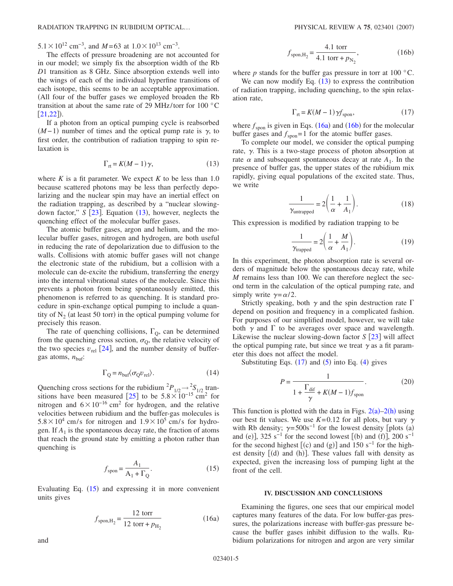$5.1 \times 10^{12}$  cm<sup>-3</sup>, and *M* = 63 at  $1.0 \times 10^{13}$  cm<sup>-3</sup>.

The effects of pressure broadening are not accounted for in our model; we simply fix the absorption width of the Rb *D*1 transition as 8 GHz. Since absorption extends well into the wings of each of the individual hyperfine transitions of each isotope, this seems to be an acceptable approximation. All four of the buffer gases we employed broaden the Rb transition at about the same rate of 29 MHz/torr for 100 °C  $[21, 22]$  $[21, 22]$  $[21, 22]$ ).

If a photon from an optical pumping cycle is reabsorbed  $(M-1)$  number of times and the optical pump rate is  $\gamma$ , to first order, the contribution of radiation trapping to spin relaxation is

$$
\Gamma_{\rm rt} = K(M-1)\,\gamma,\tag{13}
$$

<span id="page-5-0"></span>where  $K$  is a fit parameter. We expect  $K$  to be less than 1.0 because scattered photons may be less than perfectly depolarizing and the nuclear spin may have an inertial effect on the radiation trapping, as described by a "nuclear slowingdown factor," *S* [[23](#page-6-20)]. Equation ([13](#page-5-0)), however, neglects the quenching effect of the molecular buffer gases.

The atomic buffer gases, argon and helium, and the molecular buffer gases, nitrogen and hydrogen, are both useful in reducing the rate of depolarization due to diffusion to the walls. Collisions with atomic buffer gases will not change the electronic state of the rubidium, but a collision with a molecule can de-excite the rubidium, transferring the energy into the internal vibrational states of the molecule. Since this prevents a photon from being spontaneously emitted, this phenomenon is referred to as quenching. It is standard procedure in spin-exchange optical pumping to include a quantity of  $N_2$  (at least 50 torr) in the optical pumping volume for precisely this reason.

The rate of quenching collisions,  $\Gamma_0$ , can be determined from the quenching cross section,  $\sigma_Q$ , the relative velocity of the two species  $v_{rel}$  [[24](#page-6-12)], and the number density of buffergas atoms,  $n_{\text{buf}}$ :

$$
\Gamma_{\rm Q} = n_{\rm bur} \langle \sigma_{\rm Q} v_{\rm rel} \rangle. \tag{14}
$$

Quenching cross sections for the rubidium  ${}^{2}P_{1/2} \rightarrow {}^{2}S_{1/2}$  tran-sitions have been measured [[25](#page-6-21)] to be  $5.8\times10^{-15}$  cm<sup>2</sup> for nitrogen and  $6\times10^{-16}$  cm<sup>2</sup> for hydrogen, and the relative velocities between rubidium and the buffer-gas molecules is  $5.8\times10^4$  cm/s for nitrogen and  $1.9\times10^5$  cm/s for hydrogen. If  $A_1$  is the spontaneous decay rate, the fraction of atoms that reach the ground state by emitting a photon rather than quenching is

$$
f_{\rm spon} = \frac{A_1}{A_1 + \Gamma_Q}.\tag{15}
$$

<span id="page-5-2"></span><span id="page-5-1"></span>Evaluating Eq.  $(15)$  $(15)$  $(15)$  and expressing it in more convenient units gives

$$
f_{\text{spon,H}_2} = \frac{12 \text{ torr}}{12 \text{ torr} + p_{\text{H}_2}}
$$
 (16a)

$$
f_{\text{spon,H}_2} = \frac{4.1 \text{ torr}}{4.1 \text{ torr} + p_{\text{N}_2}},\tag{16b}
$$

<span id="page-5-3"></span>where  $p$  stands for the buffer gas pressure in torr at 100  $^{\circ}$ C.

We can now modify Eq.  $(13)$  $(13)$  $(13)$  to express the contribution of radiation trapping, including quenching, to the spin relaxation rate,

$$
\Gamma_{\rm rt} = K(M-1)\,\gamma f_{\rm spon},\tag{17}
$$

<span id="page-5-4"></span>where  $f<sub>spon</sub>$  is given in Eqs. ([16a](#page-5-2)) and ([16b](#page-5-3)) for the molecular buffer gases and  $f_{\text{spon}} = 1$  for the atomic buffer gases.

To complete our model, we consider the optical pumping rate,  $\gamma$ . This is a two-stage process of photon absorption at rate  $\alpha$  and subsequent spontaneous decay at rate  $A_1$ . In the presence of buffer gas, the upper states of the rubidium mix rapidly, giving equal populations of the excited state. Thus, we write

$$
\frac{1}{\gamma_{\text{untrapped}}} = 2\left(\frac{1}{\alpha} + \frac{1}{A_1}\right). \tag{18}
$$

This expression is modified by radiation trapping to be

$$
\frac{1}{\gamma_{\text{trapped}}} = 2\left(\frac{1}{\alpha} + \frac{M}{A_1}\right). \tag{19}
$$

In this experiment, the photon absorption rate is several orders of magnitude below the spontaneous decay rate, while *M* remains less than 100. We can therefore neglect the second term in the calculation of the optical pumping rate, and simply write  $\gamma = \alpha/2$ .

Strictly speaking, both  $\gamma$  and the spin destruction rate  $\Gamma$ depend on position and frequency in a complicated fashion. For purposes of our simplified model, however, we will take both  $\gamma$  and  $\Gamma$  to be averages over space and wavelength. Likewise the nuclear slowing-down factor  $S$   $[23]$  $[23]$  $[23]$  will affect the optical pumping rate, but since we treat  $\gamma$  as a fit parameter this does not affect the model.

<span id="page-5-5"></span>Substituting Eqs.  $(17)$  $(17)$  $(17)$  and  $(5)$  $(5)$  $(5)$  into Eq.  $(4)$  $(4)$  $(4)$  gives

$$
P = \frac{1}{1 + \frac{\Gamma_{\text{dif}}}{\gamma} + K(M - 1)f_{\text{spon}}}.
$$
 (20)

This function is plotted with the data in Figs.  $2(a)-2(h)$  $2(a)-2(h)$  using our best fit values. We use  $K=0.12$  for all plots, but vary  $\gamma$ with Rb density;  $\gamma = 500s^{-1}$  for the lowest density [plots (a) and (e)], 325 s<sup>-1</sup> for the second lowest [(b) and (f)], 200 s<sup>-1</sup> for the second highest  $[(c)$  and  $(g)]$  and 150 s<sup>-1</sup> for the highest density  $[(d)$  and  $(h)]$ . These values fall with density as expected, given the increasing loss of pumping light at the front of the cell.

#### **IV. DISCUSSION AND CONCLUSIONS**

Examining the figures, one sees that our empirical model captures many features of the data. For low buffer-gas pressures, the polarizations increase with buffer-gas pressure because the buffer gases inhibit diffusion to the walls. Rubidium polarizations for nitrogen and argon are very similar

and